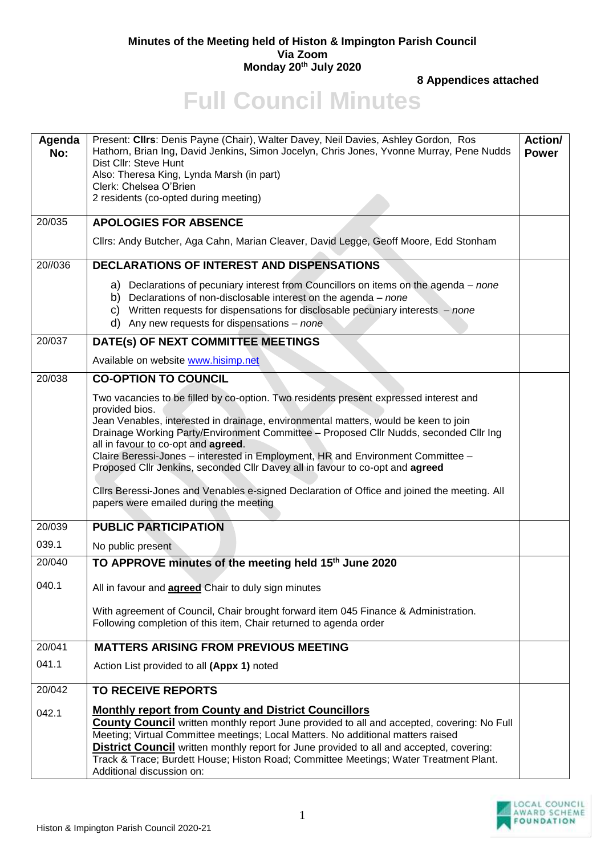## **Minutes of the Meeting held of Histon & Impington Parish Council Via Zoom Monday 20th July 2020**

**8 Appendices attached**

## **Full Council Minutes**

| Agenda<br>No:<br>20/035 | Present: Cllrs: Denis Payne (Chair), Walter Davey, Neil Davies, Ashley Gordon, Ros<br>Hathorn, Brian Ing, David Jenkins, Simon Jocelyn, Chris Jones, Yvonne Murray, Pene Nudds<br>Dist Cllr: Steve Hunt<br>Also: Theresa King, Lynda Marsh (in part)<br>Clerk: Chelsea O'Brien<br>2 residents (co-opted during meeting)<br><b>APOLOGIES FOR ABSENCE</b>                                                                                                                                                                                                                                                                                     | Action/<br><b>Power</b> |
|-------------------------|---------------------------------------------------------------------------------------------------------------------------------------------------------------------------------------------------------------------------------------------------------------------------------------------------------------------------------------------------------------------------------------------------------------------------------------------------------------------------------------------------------------------------------------------------------------------------------------------------------------------------------------------|-------------------------|
|                         | Cllrs: Andy Butcher, Aga Cahn, Marian Cleaver, David Legge, Geoff Moore, Edd Stonham                                                                                                                                                                                                                                                                                                                                                                                                                                                                                                                                                        |                         |
| 20//036                 | DECLARATIONS OF INTEREST AND DISPENSATIONS                                                                                                                                                                                                                                                                                                                                                                                                                                                                                                                                                                                                  |                         |
|                         | a) Declarations of pecuniary interest from Councillors on items on the agenda – none<br>b) Declarations of non-disclosable interest on the agenda $-$ none<br>Written requests for dispensations for disclosable pecuniary interests - none<br>C)<br>d) Any new requests for dispensations $-$ none                                                                                                                                                                                                                                                                                                                                         |                         |
| 20/037                  | DATE(s) OF NEXT COMMITTEE MEETINGS                                                                                                                                                                                                                                                                                                                                                                                                                                                                                                                                                                                                          |                         |
|                         | Available on website www.hisimp.net                                                                                                                                                                                                                                                                                                                                                                                                                                                                                                                                                                                                         |                         |
| 20/038                  | <b>CO-OPTION TO COUNCIL</b>                                                                                                                                                                                                                                                                                                                                                                                                                                                                                                                                                                                                                 |                         |
|                         | Two vacancies to be filled by co-option. Two residents present expressed interest and<br>provided bios.<br>Jean Venables, interested in drainage, environmental matters, would be keen to join<br>Drainage Working Party/Environment Committee - Proposed Cllr Nudds, seconded Cllr Ing<br>all in favour to co-opt and agreed.<br>Claire Beressi-Jones - interested in Employment, HR and Environment Committee -<br>Proposed Cllr Jenkins, seconded Cllr Davey all in favour to co-opt and agreed<br>Cllrs Beressi-Jones and Venables e-signed Declaration of Office and joined the meeting. All<br>papers were emailed during the meeting |                         |
|                         |                                                                                                                                                                                                                                                                                                                                                                                                                                                                                                                                                                                                                                             |                         |
| 20/039                  | <b>PUBLIC PARTICIPATION</b>                                                                                                                                                                                                                                                                                                                                                                                                                                                                                                                                                                                                                 |                         |
| 039.1                   | No public present                                                                                                                                                                                                                                                                                                                                                                                                                                                                                                                                                                                                                           |                         |
| 20/040                  | TO APPROVE minutes of the meeting held 15 <sup>th</sup> June 2020                                                                                                                                                                                                                                                                                                                                                                                                                                                                                                                                                                           |                         |
| 040.1                   | All in favour and <b>agreed</b> Chair to duly sign minutes                                                                                                                                                                                                                                                                                                                                                                                                                                                                                                                                                                                  |                         |
|                         | With agreement of Council, Chair brought forward item 045 Finance & Administration.<br>Following completion of this item, Chair returned to agenda order                                                                                                                                                                                                                                                                                                                                                                                                                                                                                    |                         |
| 20/041                  | <b>MATTERS ARISING FROM PREVIOUS MEETING</b>                                                                                                                                                                                                                                                                                                                                                                                                                                                                                                                                                                                                |                         |
| 041.1                   | Action List provided to all (Appx 1) noted                                                                                                                                                                                                                                                                                                                                                                                                                                                                                                                                                                                                  |                         |
| 20/042                  | <b>TO RECEIVE REPORTS</b>                                                                                                                                                                                                                                                                                                                                                                                                                                                                                                                                                                                                                   |                         |
| 042.1                   | <b>Monthly report from County and District Councillors</b><br><b>County Council</b> written monthly report June provided to all and accepted, covering: No Full<br>Meeting; Virtual Committee meetings; Local Matters. No additional matters raised<br><b>District Council</b> written monthly report for June provided to all and accepted, covering:<br>Track & Trace; Burdett House; Histon Road; Committee Meetings; Water Treatment Plant.<br>Additional discussion on:                                                                                                                                                                |                         |

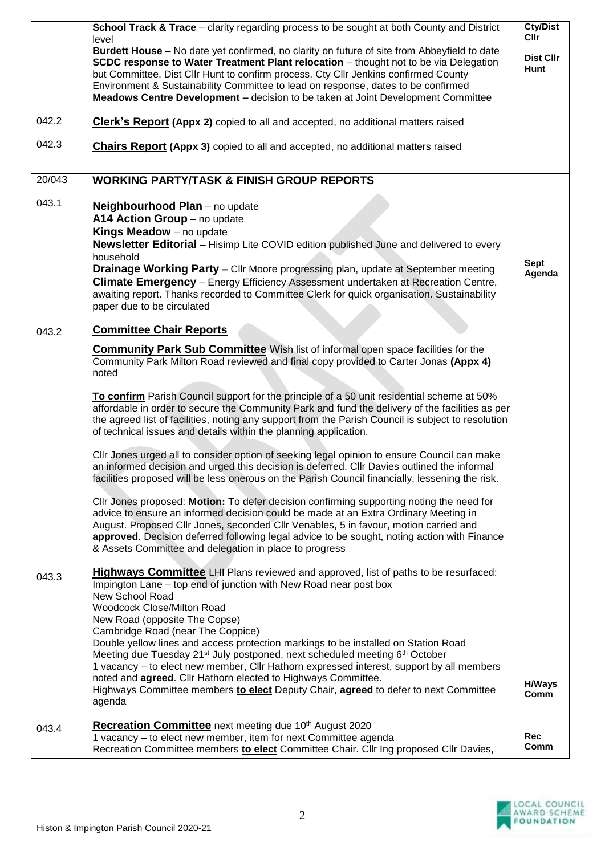|        | <b>School Track &amp; Trace</b> – clarity regarding process to be sought at both County and District<br>level<br>Burdett House - No date yet confirmed, no clarity on future of site from Abbeyfield to date<br>SCDC response to Water Treatment Plant relocation - thought not to be via Delegation<br>but Committee, Dist Cllr Hunt to confirm process. Cty Cllr Jenkins confirmed County<br>Environment & Sustainability Committee to lead on response, dates to be confirmed<br>Meadows Centre Development - decision to be taken at Joint Development Committee                                                                                                                                                                                                                                  | <b>Cty/Dist</b><br><b>Cllr</b><br>Dist Cllr<br>Hunt |
|--------|-------------------------------------------------------------------------------------------------------------------------------------------------------------------------------------------------------------------------------------------------------------------------------------------------------------------------------------------------------------------------------------------------------------------------------------------------------------------------------------------------------------------------------------------------------------------------------------------------------------------------------------------------------------------------------------------------------------------------------------------------------------------------------------------------------|-----------------------------------------------------|
| 042.2  | <b>Clerk's Report (Appx 2)</b> copied to all and accepted, no additional matters raised                                                                                                                                                                                                                                                                                                                                                                                                                                                                                                                                                                                                                                                                                                               |                                                     |
| 042.3  | <b>Chairs Report (Appx 3)</b> copied to all and accepted, no additional matters raised                                                                                                                                                                                                                                                                                                                                                                                                                                                                                                                                                                                                                                                                                                                |                                                     |
| 20/043 | <b>WORKING PARTY/TASK &amp; FINISH GROUP REPORTS</b>                                                                                                                                                                                                                                                                                                                                                                                                                                                                                                                                                                                                                                                                                                                                                  |                                                     |
| 043.1  | Neighbourhood Plan - no update<br>A14 Action Group - no update<br>Kings Meadow - no update<br><b>Newsletter Editorial</b> - Hisimp Lite COVID edition published June and delivered to every<br>household<br>Drainage Working Party - Cllr Moore progressing plan, update at September meeting<br>Climate Emergency - Energy Efficiency Assessment undertaken at Recreation Centre,<br>awaiting report. Thanks recorded to Committee Clerk for quick organisation. Sustainability<br>paper due to be circulated                                                                                                                                                                                                                                                                                        | <b>Sept</b><br>Agenda                               |
| 043.2  | <b>Committee Chair Reports</b><br><b>Community Park Sub Committee</b> Wish list of informal open space facilities for the<br>Community Park Milton Road reviewed and final copy provided to Carter Jonas (Appx 4)<br>noted<br>To confirm Parish Council support for the principle of a 50 unit residential scheme at 50%<br>affordable in order to secure the Community Park and fund the delivery of the facilities as per<br>the agreed list of facilities, noting any support from the Parish Council is subject to resolution                                                                                                                                                                                                                                                                     |                                                     |
|        | of technical issues and details within the planning application.<br>Cllr Jones urged all to consider option of seeking legal opinion to ensure Council can make<br>an informed decision and urged this decision is deferred. Cllr Davies outlined the informal<br>facilities proposed will be less onerous on the Parish Council financially, lessening the risk.<br>Cllr Jones proposed: Motion: To defer decision confirming supporting noting the need for<br>advice to ensure an informed decision could be made at an Extra Ordinary Meeting in<br>August. Proposed Cllr Jones, seconded Cllr Venables, 5 in favour, motion carried and<br>approved. Decision deferred following legal advice to be sought, noting action with Finance<br>& Assets Committee and delegation in place to progress |                                                     |
| 043.3  | <b>Highways Committee</b> LHI Plans reviewed and approved, list of paths to be resurfaced:<br>Impington Lane – top end of junction with New Road near post box<br>New School Road<br><b>Woodcock Close/Milton Road</b><br>New Road (opposite The Copse)<br>Cambridge Road (near The Coppice)<br>Double yellow lines and access protection markings to be installed on Station Road<br>Meeting due Tuesday 21 <sup>st</sup> July postponed, next scheduled meeting 6 <sup>th</sup> October<br>1 vacancy - to elect new member, Cllr Hathorn expressed interest, support by all members<br>noted and agreed. Cllr Hathorn elected to Highways Committee.<br>Highways Committee members to elect Deputy Chair, agreed to defer to next Committee<br>agenda                                               | <b>H/Ways</b><br>Comm                               |
| 043.4  | Recreation Committee next meeting due 10th August 2020<br>1 vacancy - to elect new member, item for next Committee agenda<br>Recreation Committee members to elect Committee Chair. Cllr Ing proposed Cllr Davies,                                                                                                                                                                                                                                                                                                                                                                                                                                                                                                                                                                                    | <b>Rec</b><br>Comm                                  |

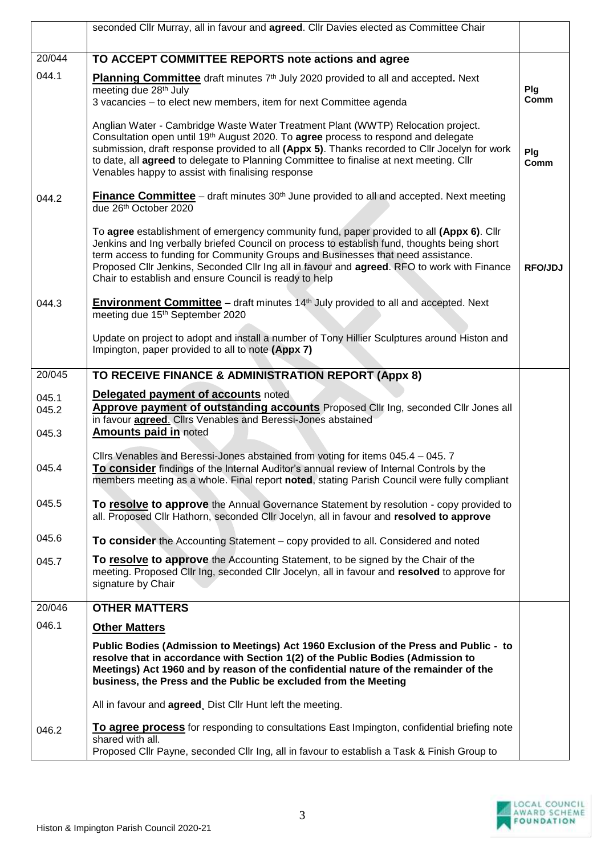|        | seconded Cllr Murray, all in favour and agreed. Cllr Davies elected as Committee Chair                                                                                                                                                    |         |
|--------|-------------------------------------------------------------------------------------------------------------------------------------------------------------------------------------------------------------------------------------------|---------|
| 20/044 | TO ACCEPT COMMITTEE REPORTS note actions and agree                                                                                                                                                                                        |         |
| 044.1  |                                                                                                                                                                                                                                           |         |
|        | Planning Committee draft minutes 7th July 2020 provided to all and accepted. Next<br>meeting due 28 <sup>th</sup> July                                                                                                                    | Plg     |
|        | 3 vacancies - to elect new members, item for next Committee agenda                                                                                                                                                                        | Comm    |
|        | Anglian Water - Cambridge Waste Water Treatment Plant (WWTP) Relocation project.<br>Consultation open until 19 <sup>th</sup> August 2020. To <b>agree</b> process to respond and delegate                                                 |         |
|        | submission, draft response provided to all (Appx 5). Thanks recorded to Cllr Jocelyn for work                                                                                                                                             | Plg     |
|        | to date, all agreed to delegate to Planning Committee to finalise at next meeting. Cllr<br>Venables happy to assist with finalising response                                                                                              | Comm    |
| 044.2  | <b>Finance Committee</b> – draft minutes $30th$ June provided to all and accepted. Next meeting                                                                                                                                           |         |
|        | due 26th October 2020                                                                                                                                                                                                                     |         |
|        | To agree establishment of emergency community fund, paper provided to all (Appx 6). Cllr                                                                                                                                                  |         |
|        | Jenkins and Ing verbally briefed Council on process to establish fund, thoughts being short<br>term access to funding for Community Groups and Businesses that need assistance.                                                           |         |
|        | Proposed Cllr Jenkins, Seconded Cllr Ing all in favour and agreed. RFO to work with Finance<br>Chair to establish and ensure Council is ready to help                                                                                     | RFO/JDJ |
|        | <b>Environment Committee</b> – draft minutes 14 <sup>th</sup> July provided to all and accepted. Next                                                                                                                                     |         |
| 044.3  | meeting due 15 <sup>th</sup> September 2020                                                                                                                                                                                               |         |
|        | Update on project to adopt and install a number of Tony Hillier Sculptures around Histon and                                                                                                                                              |         |
|        | Impington, paper provided to all to note (Appx 7)                                                                                                                                                                                         |         |
| 20/045 | TO RECEIVE FINANCE & ADMINISTRATION REPORT (Appx 8)                                                                                                                                                                                       |         |
| 045.1  | Delegated payment of accounts noted                                                                                                                                                                                                       |         |
| 045.2  | Approve payment of outstanding accounts Proposed Cllr Ing, seconded Cllr Jones all<br>in favour <b>agreed</b> . Cllrs Venables and Beressi-Jones abstained                                                                                |         |
| 045.3  | <b>Amounts paid in noted</b>                                                                                                                                                                                                              |         |
|        | Cllrs Venables and Beressi-Jones abstained from voting for items 045.4 - 045. 7                                                                                                                                                           |         |
| 045.4  | To consider findings of the Internal Auditor's annual review of Internal Controls by the                                                                                                                                                  |         |
|        | members meeting as a whole. Final report noted, stating Parish Council were fully compliant                                                                                                                                               |         |
| 045.5  | To resolve to approve the Annual Governance Statement by resolution - copy provided to<br>all. Proposed Cllr Hathorn, seconded Cllr Jocelyn, all in favour and resolved to approve                                                        |         |
| 045.6  | To consider the Accounting Statement – copy provided to all. Considered and noted                                                                                                                                                         |         |
| 045.7  | To resolve to approve the Accounting Statement, to be signed by the Chair of the                                                                                                                                                          |         |
|        | meeting. Proposed Cllr Ing, seconded Cllr Jocelyn, all in favour and resolved to approve for<br>signature by Chair                                                                                                                        |         |
| 20/046 | <b>OTHER MATTERS</b>                                                                                                                                                                                                                      |         |
| 046.1  | <b>Other Matters</b>                                                                                                                                                                                                                      |         |
|        | Public Bodies (Admission to Meetings) Act 1960 Exclusion of the Press and Public - to                                                                                                                                                     |         |
|        | resolve that in accordance with Section 1(2) of the Public Bodies (Admission to<br>Meetings) Act 1960 and by reason of the confidential nature of the remainder of the<br>business, the Press and the Public be excluded from the Meeting |         |
|        | All in favour and agreed, Dist Cllr Hunt left the meeting.                                                                                                                                                                                |         |
| 046.2  | To agree process for responding to consultations East Impington, confidential briefing note<br>shared with all.                                                                                                                           |         |
|        | Proposed Cllr Payne, seconded Cllr Ing, all in favour to establish a Task & Finish Group to                                                                                                                                               |         |